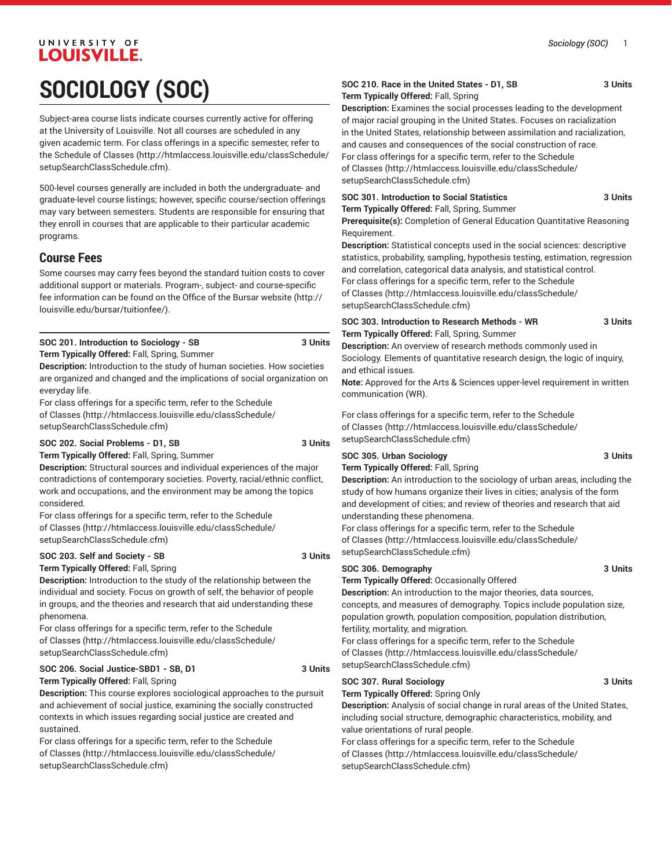# UNIVERSITY OF LOUISVILLE. **SOCIOLOGY (SOC)**

Subject-area course lists indicate courses currently active for offering at the University of Louisville. Not all courses are scheduled in any given academic term. For class offerings in a specific semester, refer to the [Schedule of Classes](http://htmlaccess.louisville.edu/classSchedule/setupSearchClassSchedule.cfm) ([http://htmlaccess.louisville.edu/classSchedule/](http://htmlaccess.louisville.edu/classSchedule/setupSearchClassSchedule.cfm) [setupSearchClassSchedule.cfm\)](http://htmlaccess.louisville.edu/classSchedule/setupSearchClassSchedule.cfm).

500-level courses generally are included in both the undergraduate- and graduate-level course listings; however, specific course/section offerings may vary between semesters. Students are responsible for ensuring that they enroll in courses that are applicable to their particular academic programs.

### **Course Fees**

Some courses may carry fees beyond the standard tuition costs to cover additional support or materials. Program-, subject- and course-specific fee information can be found on the [Office of the Bursar website](http://louisville.edu/bursar/tuitionfee/) ([http://](http://louisville.edu/bursar/tuitionfee/) [louisville.edu/bursar/tuitionfee/](http://louisville.edu/bursar/tuitionfee/)).

### **SOC 201. Introduction to Sociology - SB 3 Units**

**Term Typically Offered:** Fall, Spring, Summer

**Description:** Introduction to the study of human societies. How societies are organized and changed and the implications of social organization on everyday life.

For class offerings for a specific term, refer to the [Schedule](http://htmlaccess.louisville.edu/classSchedule/setupSearchClassSchedule.cfm) [of Classes \(http://htmlaccess.louisville.edu/classSchedule/](http://htmlaccess.louisville.edu/classSchedule/setupSearchClassSchedule.cfm) [setupSearchClassSchedule.cfm\)](http://htmlaccess.louisville.edu/classSchedule/setupSearchClassSchedule.cfm)

### **SOC 202. Social Problems - D1, SB 3 Units**

**Term Typically Offered:** Fall, Spring, Summer

**Description:** Structural sources and individual experiences of the major contradictions of contemporary societies. Poverty, racial/ethnic conflict, work and occupations, and the environment may be among the topics considered.

For class offerings for a specific term, refer to the [Schedule](http://htmlaccess.louisville.edu/classSchedule/setupSearchClassSchedule.cfm) [of Classes \(http://htmlaccess.louisville.edu/classSchedule/](http://htmlaccess.louisville.edu/classSchedule/setupSearchClassSchedule.cfm) [setupSearchClassSchedule.cfm\)](http://htmlaccess.louisville.edu/classSchedule/setupSearchClassSchedule.cfm)

### **SOC 203. Self and Society - SB 3 Units**

**Term Typically Offered:** Fall, Spring

**Description:** Introduction to the study of the relationship between the individual and society. Focus on growth of self, the behavior of people in groups, and the theories and research that aid understanding these phenomena.

For class offerings for a specific term, refer to the [Schedule](http://htmlaccess.louisville.edu/classSchedule/setupSearchClassSchedule.cfm) [of Classes \(http://htmlaccess.louisville.edu/classSchedule/](http://htmlaccess.louisville.edu/classSchedule/setupSearchClassSchedule.cfm) [setupSearchClassSchedule.cfm\)](http://htmlaccess.louisville.edu/classSchedule/setupSearchClassSchedule.cfm)

### **SOC 206. Social Justice-SBD1 - SB, D1 3 Units Term Typically Offered:** Fall, Spring

**Description:** This course explores sociological approaches to the pursuit and achievement of social justice, examining the socially constructed contexts in which issues regarding social justice are created and sustained.

For class offerings for a specific term, refer to the [Schedule](http://htmlaccess.louisville.edu/classSchedule/setupSearchClassSchedule.cfm) [of Classes \(http://htmlaccess.louisville.edu/classSchedule/](http://htmlaccess.louisville.edu/classSchedule/setupSearchClassSchedule.cfm) [setupSearchClassSchedule.cfm\)](http://htmlaccess.louisville.edu/classSchedule/setupSearchClassSchedule.cfm)

### **SOC 210. Race in the United States - D1, SB 3 Units Term Typically Offered:** Fall, Spring

**Description:** Examines the social processes leading to the development of major racial grouping in the United States. Focuses on racialization in the United States, relationship between assimilation and racialization, and causes and consequences of the social construction of race. For class offerings for a specific term, refer to the [Schedule](http://htmlaccess.louisville.edu/classSchedule/setupSearchClassSchedule.cfm) [of Classes](http://htmlaccess.louisville.edu/classSchedule/setupSearchClassSchedule.cfm) ([http://htmlaccess.louisville.edu/classSchedule/](http://htmlaccess.louisville.edu/classSchedule/setupSearchClassSchedule.cfm) [setupSearchClassSchedule.cfm\)](http://htmlaccess.louisville.edu/classSchedule/setupSearchClassSchedule.cfm)

**SOC 301. Introduction to Social Statistics 3 Units Term Typically Offered:** Fall, Spring, Summer

**Prerequisite(s):** Completion of General Education Quantitative Reasoning Requirement.

**Description:** Statistical concepts used in the social sciences: descriptive statistics, probability, sampling, hypothesis testing, estimation, regression and correlation, categorical data analysis, and statistical control. For class offerings for a specific term, refer to the [Schedule](http://htmlaccess.louisville.edu/classSchedule/setupSearchClassSchedule.cfm) [of Classes](http://htmlaccess.louisville.edu/classSchedule/setupSearchClassSchedule.cfm) ([http://htmlaccess.louisville.edu/classSchedule/](http://htmlaccess.louisville.edu/classSchedule/setupSearchClassSchedule.cfm) [setupSearchClassSchedule.cfm\)](http://htmlaccess.louisville.edu/classSchedule/setupSearchClassSchedule.cfm)

**SOC 303. Introduction to Research Methods - WR 3 Units Term Typically Offered:** Fall, Spring, Summer

**Description:** An overview of research methods commonly used in Sociology. Elements of quantitative research design, the logic of inquiry, and ethical issues.

**Note:** Approved for the Arts & Sciences upper-level requirement in written communication (WR).

For class offerings for a specific term, refer to the [Schedule](http://htmlaccess.louisville.edu/classSchedule/setupSearchClassSchedule.cfm) [of Classes](http://htmlaccess.louisville.edu/classSchedule/setupSearchClassSchedule.cfm) ([http://htmlaccess.louisville.edu/classSchedule/](http://htmlaccess.louisville.edu/classSchedule/setupSearchClassSchedule.cfm) [setupSearchClassSchedule.cfm\)](http://htmlaccess.louisville.edu/classSchedule/setupSearchClassSchedule.cfm)

### **SOC 305. Urban Sociology 3 Units**

**Term Typically Offered:** Fall, Spring

**Description:** An introduction to the sociology of urban areas, including the study of how humans organize their lives in cities; analysis of the form and development of cities; and review of theories and research that aid understanding these phenomena.

For class offerings for a specific term, refer to the [Schedule](http://htmlaccess.louisville.edu/classSchedule/setupSearchClassSchedule.cfm) [of Classes](http://htmlaccess.louisville.edu/classSchedule/setupSearchClassSchedule.cfm) ([http://htmlaccess.louisville.edu/classSchedule/](http://htmlaccess.louisville.edu/classSchedule/setupSearchClassSchedule.cfm) [setupSearchClassSchedule.cfm\)](http://htmlaccess.louisville.edu/classSchedule/setupSearchClassSchedule.cfm)

### **SOC 306. Demography 3 Units**

**Term Typically Offered:** Occasionally Offered

**Description:** An introduction to the major theories, data sources, concepts, and measures of demography. Topics include population size, population growth, population composition, population distribution, fertility, mortality, and migration.

For class offerings for a specific term, refer to the [Schedule](http://htmlaccess.louisville.edu/classSchedule/setupSearchClassSchedule.cfm) [of Classes](http://htmlaccess.louisville.edu/classSchedule/setupSearchClassSchedule.cfm) ([http://htmlaccess.louisville.edu/classSchedule/](http://htmlaccess.louisville.edu/classSchedule/setupSearchClassSchedule.cfm) [setupSearchClassSchedule.cfm\)](http://htmlaccess.louisville.edu/classSchedule/setupSearchClassSchedule.cfm)

### SOC 307. Rural Sociology **3 Units**

**Term Typically Offered:** Spring Only

**Description:** Analysis of social change in rural areas of the United States, including social structure, demographic characteristics, mobility, and value orientations of rural people.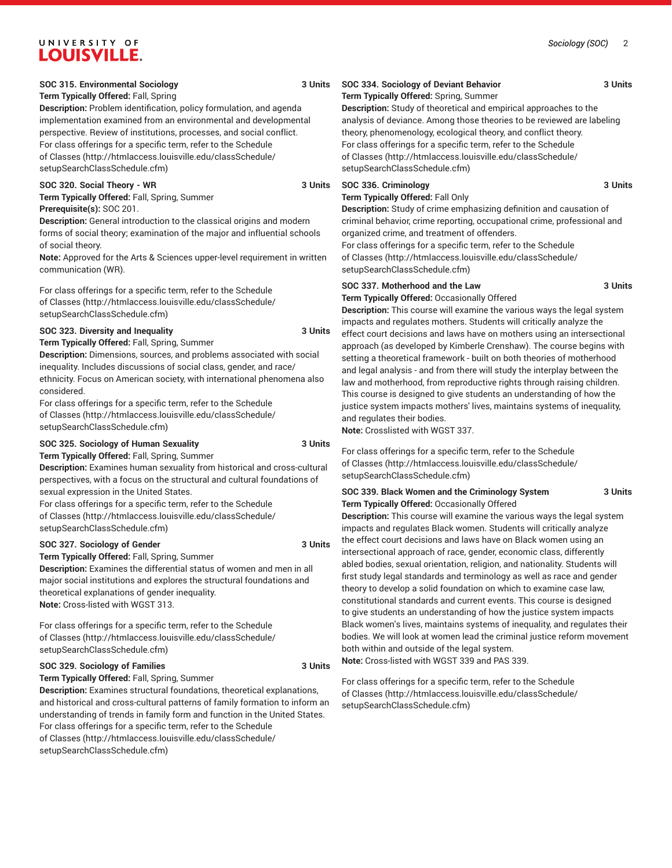### **SOC 315. Environmental Sociology 3 Units**

### **Term Typically Offered:** Fall, Spring

**Description:** Problem identification, policy formulation, and agenda implementation examined from an environmental and developmental perspective. Review of institutions, processes, and social conflict. For class offerings for a specific term, refer to the [Schedule](http://htmlaccess.louisville.edu/classSchedule/setupSearchClassSchedule.cfm) [of Classes \(http://htmlaccess.louisville.edu/classSchedule/](http://htmlaccess.louisville.edu/classSchedule/setupSearchClassSchedule.cfm) [setupSearchClassSchedule.cfm\)](http://htmlaccess.louisville.edu/classSchedule/setupSearchClassSchedule.cfm)

### **SOC 320. Social Theory - WR 3 Units**

**Term Typically Offered:** Fall, Spring, Summer **Prerequisite(s):** SOC 201.

**Description:** General introduction to the classical origins and modern forms of social theory; examination of the major and influential schools of social theory.

**Note:** Approved for the Arts & Sciences upper-level requirement in written communication (WR).

For class offerings for a specific term, refer to the [Schedule](http://htmlaccess.louisville.edu/classSchedule/setupSearchClassSchedule.cfm) [of Classes \(http://htmlaccess.louisville.edu/classSchedule/](http://htmlaccess.louisville.edu/classSchedule/setupSearchClassSchedule.cfm) [setupSearchClassSchedule.cfm\)](http://htmlaccess.louisville.edu/classSchedule/setupSearchClassSchedule.cfm)

### **SOC 323. Diversity and Inequality 3 Units**

**Term Typically Offered:** Fall, Spring, Summer

**Description:** Dimensions, sources, and problems associated with social inequality. Includes discussions of social class, gender, and race/ ethnicity. Focus on American society, with international phenomena also considered.

For class offerings for a specific term, refer to the [Schedule](http://htmlaccess.louisville.edu/classSchedule/setupSearchClassSchedule.cfm) [of Classes \(http://htmlaccess.louisville.edu/classSchedule/](http://htmlaccess.louisville.edu/classSchedule/setupSearchClassSchedule.cfm) [setupSearchClassSchedule.cfm\)](http://htmlaccess.louisville.edu/classSchedule/setupSearchClassSchedule.cfm)

### **SOC 325. Sociology of Human Sexuality 3 Units**

**Term Typically Offered:** Fall, Spring, Summer **Description:** Examines human sexuality from historical and cross-cultural perspectives, with a focus on the structural and cultural foundations of sexual expression in the United States.

For class offerings for a specific term, refer to the [Schedule](http://htmlaccess.louisville.edu/classSchedule/setupSearchClassSchedule.cfm) [of Classes \(http://htmlaccess.louisville.edu/classSchedule/](http://htmlaccess.louisville.edu/classSchedule/setupSearchClassSchedule.cfm) [setupSearchClassSchedule.cfm\)](http://htmlaccess.louisville.edu/classSchedule/setupSearchClassSchedule.cfm)

### **SOC 327. Sociology of Gender 3 Units**

**Term Typically Offered:** Fall, Spring, Summer **Description:** Examines the differential status of women and men in all major social institutions and explores the structural foundations and theoretical explanations of gender inequality. **Note:** Cross-listed with WGST 313.

For class offerings for a specific term, refer to the [Schedule](http://htmlaccess.louisville.edu/classSchedule/setupSearchClassSchedule.cfm) [of Classes \(http://htmlaccess.louisville.edu/classSchedule/](http://htmlaccess.louisville.edu/classSchedule/setupSearchClassSchedule.cfm) [setupSearchClassSchedule.cfm\)](http://htmlaccess.louisville.edu/classSchedule/setupSearchClassSchedule.cfm)

### **SOC 329. Sociology of Families 3 Units**

**Term Typically Offered:** Fall, Spring, Summer

**Description:** Examines structural foundations, theoretical explanations, and historical and cross-cultural patterns of family formation to inform an understanding of trends in family form and function in the United States. For class offerings for a specific term, refer to the [Schedule](http://htmlaccess.louisville.edu/classSchedule/setupSearchClassSchedule.cfm) [of Classes \(http://htmlaccess.louisville.edu/classSchedule/](http://htmlaccess.louisville.edu/classSchedule/setupSearchClassSchedule.cfm) [setupSearchClassSchedule.cfm\)](http://htmlaccess.louisville.edu/classSchedule/setupSearchClassSchedule.cfm)

### **SOC 334. Sociology of Deviant Behavior 3 Units Term Typically Offered:** Spring, Summer

**Description:** Study of theoretical and empirical approaches to the analysis of deviance. Among those theories to be reviewed are labeling theory, phenomenology, ecological theory, and conflict theory. For class offerings for a specific term, refer to the [Schedule](http://htmlaccess.louisville.edu/classSchedule/setupSearchClassSchedule.cfm) [of Classes](http://htmlaccess.louisville.edu/classSchedule/setupSearchClassSchedule.cfm) ([http://htmlaccess.louisville.edu/classSchedule/](http://htmlaccess.louisville.edu/classSchedule/setupSearchClassSchedule.cfm) [setupSearchClassSchedule.cfm\)](http://htmlaccess.louisville.edu/classSchedule/setupSearchClassSchedule.cfm)

### **SOC 336. Criminology 3 Units**

### **Term Typically Offered:** Fall Only

**Description:** Study of crime emphasizing definition and causation of criminal behavior, crime reporting, occupational crime, professional and organized crime, and treatment of offenders.

For class offerings for a specific term, refer to the [Schedule](http://htmlaccess.louisville.edu/classSchedule/setupSearchClassSchedule.cfm) [of Classes](http://htmlaccess.louisville.edu/classSchedule/setupSearchClassSchedule.cfm) ([http://htmlaccess.louisville.edu/classSchedule/](http://htmlaccess.louisville.edu/classSchedule/setupSearchClassSchedule.cfm) [setupSearchClassSchedule.cfm\)](http://htmlaccess.louisville.edu/classSchedule/setupSearchClassSchedule.cfm)

### **SOC 337. Motherhood and the Law 3 Units**

**Term Typically Offered:** Occasionally Offered

**Description:** This course will examine the various ways the legal system impacts and regulates mothers. Students will critically analyze the effect court decisions and laws have on mothers using an intersectional approach (as developed by Kimberle Crenshaw). The course begins with setting a theoretical framework - built on both theories of motherhood and legal analysis - and from there will study the interplay between the law and motherhood, from reproductive rights through raising children. This course is designed to give students an understanding of how the justice system impacts mothers' lives, maintains systems of inequality, and regulates their bodies.

**Note:** Crosslisted with WGST 337.

For class offerings for a specific term, refer to the [Schedule](http://htmlaccess.louisville.edu/classSchedule/setupSearchClassSchedule.cfm) [of Classes](http://htmlaccess.louisville.edu/classSchedule/setupSearchClassSchedule.cfm) ([http://htmlaccess.louisville.edu/classSchedule/](http://htmlaccess.louisville.edu/classSchedule/setupSearchClassSchedule.cfm) [setupSearchClassSchedule.cfm\)](http://htmlaccess.louisville.edu/classSchedule/setupSearchClassSchedule.cfm)

### **SOC 339. Black Women and the Criminology System 3 Units Term Typically Offered:** Occasionally Offered

**Description:** This course will examine the various ways the legal system impacts and regulates Black women. Students will critically analyze the effect court decisions and laws have on Black women using an intersectional approach of race, gender, economic class, differently abled bodies, sexual orientation, religion, and nationality. Students will first study legal standards and terminology as well as race and gender theory to develop a solid foundation on which to examine case law, constitutional standards and current events. This course is designed to give students an understanding of how the justice system impacts Black women's lives, maintains systems of inequality, and regulates their bodies. We will look at women lead the criminal justice reform movement both within and outside of the legal system.

**Note:** Cross-listed with WGST 339 and PAS 339.

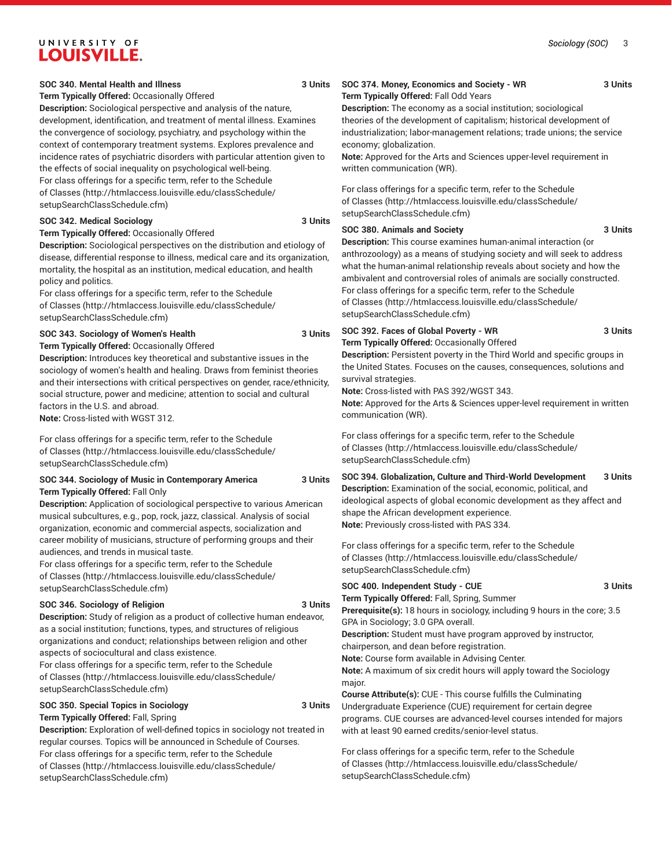### **SOC 340. Mental Health and Illness 3 Units**

#### **Term Typically Offered:** Occasionally Offered

**Description:** Sociological perspective and analysis of the nature, development, identification, and treatment of mental illness. Examines the convergence of sociology, psychiatry, and psychology within the context of contemporary treatment systems. Explores prevalence and incidence rates of psychiatric disorders with particular attention given to the effects of social inequality on psychological well-being. For class offerings for a specific term, refer to the [Schedule](http://htmlaccess.louisville.edu/classSchedule/setupSearchClassSchedule.cfm) [of Classes \(http://htmlaccess.louisville.edu/classSchedule/](http://htmlaccess.louisville.edu/classSchedule/setupSearchClassSchedule.cfm) [setupSearchClassSchedule.cfm\)](http://htmlaccess.louisville.edu/classSchedule/setupSearchClassSchedule.cfm)

#### **SOC 342. Medical Sociology 3 Units**

**Term Typically Offered:** Occasionally Offered

**Description:** Sociological perspectives on the distribution and etiology of disease, differential response to illness, medical care and its organization, mortality, the hospital as an institution, medical education, and health policy and politics.

For class offerings for a specific term, refer to the [Schedule](http://htmlaccess.louisville.edu/classSchedule/setupSearchClassSchedule.cfm) [of Classes \(http://htmlaccess.louisville.edu/classSchedule/](http://htmlaccess.louisville.edu/classSchedule/setupSearchClassSchedule.cfm) [setupSearchClassSchedule.cfm\)](http://htmlaccess.louisville.edu/classSchedule/setupSearchClassSchedule.cfm)

### **SOC 343. Sociology of Women's Health 3 Units**

**Term Typically Offered:** Occasionally Offered

**Description:** Introduces key theoretical and substantive issues in the sociology of women's health and healing. Draws from feminist theories and their intersections with critical perspectives on gender, race/ethnicity, social structure, power and medicine; attention to social and cultural factors in the U.S. and abroad.

**Note:** Cross-listed with WGST 312.

For class offerings for a specific term, refer to the [Schedule](http://htmlaccess.louisville.edu/classSchedule/setupSearchClassSchedule.cfm) [of Classes \(http://htmlaccess.louisville.edu/classSchedule/](http://htmlaccess.louisville.edu/classSchedule/setupSearchClassSchedule.cfm) [setupSearchClassSchedule.cfm\)](http://htmlaccess.louisville.edu/classSchedule/setupSearchClassSchedule.cfm)

#### **SOC 344. Sociology of Music in Contemporary America 3 Units Term Typically Offered:** Fall Only

**Description:** Application of sociological perspective to various American musical subcultures, e.g., pop, rock, jazz, classical. Analysis of social organization, economic and commercial aspects, socialization and career mobility of musicians, structure of performing groups and their audiences, and trends in musical taste.

For class offerings for a specific term, refer to the [Schedule](http://htmlaccess.louisville.edu/classSchedule/setupSearchClassSchedule.cfm) [of Classes \(http://htmlaccess.louisville.edu/classSchedule/](http://htmlaccess.louisville.edu/classSchedule/setupSearchClassSchedule.cfm) [setupSearchClassSchedule.cfm\)](http://htmlaccess.louisville.edu/classSchedule/setupSearchClassSchedule.cfm)

### **SOC 346. Sociology of Religion 3 Units**

**Description:** Study of religion as a product of collective human endeavor, as a social institution; functions, types, and structures of religious organizations and conduct; relationships between religion and other aspects of sociocultural and class existence.

For class offerings for a specific term, refer to the [Schedule](http://htmlaccess.louisville.edu/classSchedule/setupSearchClassSchedule.cfm) [of Classes \(http://htmlaccess.louisville.edu/classSchedule/](http://htmlaccess.louisville.edu/classSchedule/setupSearchClassSchedule.cfm) [setupSearchClassSchedule.cfm\)](http://htmlaccess.louisville.edu/classSchedule/setupSearchClassSchedule.cfm)

#### **SOC 350. Special Topics in Sociology 3 Units Term Typically Offered:** Fall, Spring

**Description:** Exploration of well-defined topics in sociology not treated in regular courses. Topics will be announced in Schedule of Courses. For class offerings for a specific term, refer to the [Schedule](http://htmlaccess.louisville.edu/classSchedule/setupSearchClassSchedule.cfm) [of Classes \(http://htmlaccess.louisville.edu/classSchedule/](http://htmlaccess.louisville.edu/classSchedule/setupSearchClassSchedule.cfm) [setupSearchClassSchedule.cfm\)](http://htmlaccess.louisville.edu/classSchedule/setupSearchClassSchedule.cfm)

### **SOC 374. Money, Economics and Society - WR 3 Units Term Typically Offered:** Fall Odd Years

**Description:** The economy as a social institution; sociological theories of the development of capitalism; historical development of industrialization; labor-management relations; trade unions; the service economy; globalization.

**Note:** Approved for the Arts and Sciences upper-level requirement in written communication (WR).

For class offerings for a specific term, refer to the [Schedule](http://htmlaccess.louisville.edu/classSchedule/setupSearchClassSchedule.cfm) [of Classes](http://htmlaccess.louisville.edu/classSchedule/setupSearchClassSchedule.cfm) ([http://htmlaccess.louisville.edu/classSchedule/](http://htmlaccess.louisville.edu/classSchedule/setupSearchClassSchedule.cfm) [setupSearchClassSchedule.cfm\)](http://htmlaccess.louisville.edu/classSchedule/setupSearchClassSchedule.cfm)

### **SOC 380. Animals and Society 3 Units**

**Description:** This course examines human-animal interaction (or anthrozoology) as a means of studying society and will seek to address what the human-animal relationship reveals about society and how the ambivalent and controversial roles of animals are socially constructed. For class offerings for a specific term, refer to the [Schedule](http://htmlaccess.louisville.edu/classSchedule/setupSearchClassSchedule.cfm) [of Classes](http://htmlaccess.louisville.edu/classSchedule/setupSearchClassSchedule.cfm) ([http://htmlaccess.louisville.edu/classSchedule/](http://htmlaccess.louisville.edu/classSchedule/setupSearchClassSchedule.cfm) [setupSearchClassSchedule.cfm\)](http://htmlaccess.louisville.edu/classSchedule/setupSearchClassSchedule.cfm)

### **SOC 392. Faces of Global Poverty - WR 3 Units**

**Term Typically Offered:** Occasionally Offered

**Description:** Persistent poverty in the Third World and specific groups in the United States. Focuses on the causes, consequences, solutions and survival strategies.

**Note:** Cross-listed with PAS 392/WGST 343.

**Note:** Approved for the Arts & Sciences upper-level requirement in written communication (WR).

For class offerings for a specific term, refer to the [Schedule](http://htmlaccess.louisville.edu/classSchedule/setupSearchClassSchedule.cfm) [of Classes](http://htmlaccess.louisville.edu/classSchedule/setupSearchClassSchedule.cfm) ([http://htmlaccess.louisville.edu/classSchedule/](http://htmlaccess.louisville.edu/classSchedule/setupSearchClassSchedule.cfm) [setupSearchClassSchedule.cfm\)](http://htmlaccess.louisville.edu/classSchedule/setupSearchClassSchedule.cfm)

**SOC 394. Globalization, Culture and Third-World Development 3 Units Description:** Examination of the social, economic, political, and ideological aspects of global economic development as they affect and shape the African development experience. **Note:** Previously cross-listed with PAS 334.

For class offerings for a specific term, refer to the [Schedule](http://htmlaccess.louisville.edu/classSchedule/setupSearchClassSchedule.cfm) [of Classes](http://htmlaccess.louisville.edu/classSchedule/setupSearchClassSchedule.cfm) ([http://htmlaccess.louisville.edu/classSchedule/](http://htmlaccess.louisville.edu/classSchedule/setupSearchClassSchedule.cfm) [setupSearchClassSchedule.cfm\)](http://htmlaccess.louisville.edu/classSchedule/setupSearchClassSchedule.cfm)

### **SOC 400. Independent Study - CUE 3 Units**

**Term Typically Offered:** Fall, Spring, Summer **Prerequisite(s):** 18 hours in sociology, including 9 hours in the core; 3.5 GPA in Sociology; 3.0 GPA overall.

**Description:** Student must have program approved by instructor, chairperson, and dean before registration.

**Note:** Course form available in Advising Center.

**Note:** A maximum of six credit hours will apply toward the Sociology major.

**Course Attribute(s):** CUE - This course fulfills the Culminating Undergraduate Experience (CUE) requirement for certain degree programs. CUE courses are advanced-level courses intended for majors with at least 90 earned credits/senior-level status.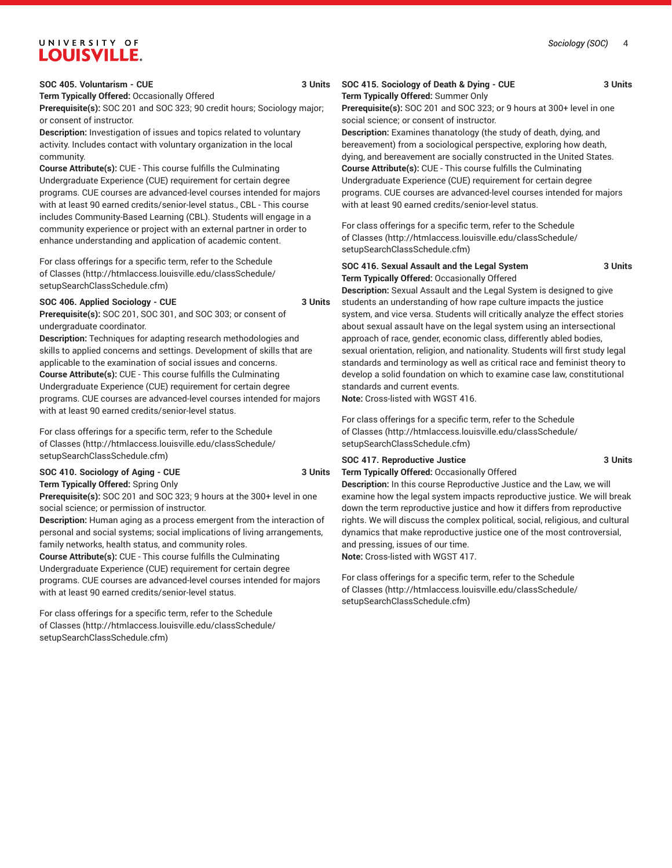### **SOC 405. Voluntarism - CUE 3 Units**

**Term Typically Offered:** Occasionally Offered

**Prerequisite(s):** SOC 201 and SOC 323; 90 credit hours; Sociology major; or consent of instructor.

**Description:** Investigation of issues and topics related to voluntary activity. Includes contact with voluntary organization in the local community.

**Course Attribute(s):** CUE - This course fulfills the Culminating Undergraduate Experience (CUE) requirement for certain degree programs. CUE courses are advanced-level courses intended for majors with at least 90 earned credits/senior-level status., CBL - This course includes Community-Based Learning (CBL). Students will engage in a community experience or project with an external partner in order to enhance understanding and application of academic content.

For class offerings for a specific term, refer to the [Schedule](http://htmlaccess.louisville.edu/classSchedule/setupSearchClassSchedule.cfm) [of Classes \(http://htmlaccess.louisville.edu/classSchedule/](http://htmlaccess.louisville.edu/classSchedule/setupSearchClassSchedule.cfm) [setupSearchClassSchedule.cfm\)](http://htmlaccess.louisville.edu/classSchedule/setupSearchClassSchedule.cfm)

#### SOC 406. Applied Sociology - CUE 3 Units

**Prerequisite(s):** SOC 201, SOC 301, and SOC 303; or consent of undergraduate coordinator.

**Description:** Techniques for adapting research methodologies and skills to applied concerns and settings. Development of skills that are applicable to the examination of social issues and concerns. **Course Attribute(s):** CUE - This course fulfills the Culminating Undergraduate Experience (CUE) requirement for certain degree programs. CUE courses are advanced-level courses intended for majors with at least 90 earned credits/senior-level status.

For class offerings for a specific term, refer to the [Schedule](http://htmlaccess.louisville.edu/classSchedule/setupSearchClassSchedule.cfm) [of Classes \(http://htmlaccess.louisville.edu/classSchedule/](http://htmlaccess.louisville.edu/classSchedule/setupSearchClassSchedule.cfm) [setupSearchClassSchedule.cfm\)](http://htmlaccess.louisville.edu/classSchedule/setupSearchClassSchedule.cfm)

**SOC 410. Sociology of Aging - CUE 3 Units Term Typically Offered:** Spring Only

**Prerequisite(s):** SOC 201 and SOC 323; 9 hours at the 300+ level in one social science; or permission of instructor.

**Description:** Human aging as a process emergent from the interaction of personal and social systems; social implications of living arrangements, family networks, health status, and community roles.

**Course Attribute(s):** CUE - This course fulfills the Culminating Undergraduate Experience (CUE) requirement for certain degree programs. CUE courses are advanced-level courses intended for majors with at least 90 earned credits/senior-level status.

For class offerings for a specific term, refer to the [Schedule](http://htmlaccess.louisville.edu/classSchedule/setupSearchClassSchedule.cfm) [of Classes \(http://htmlaccess.louisville.edu/classSchedule/](http://htmlaccess.louisville.edu/classSchedule/setupSearchClassSchedule.cfm) [setupSearchClassSchedule.cfm\)](http://htmlaccess.louisville.edu/classSchedule/setupSearchClassSchedule.cfm)

### **SOC 415. Sociology of Death & Dying - CUE 3 Units Term Typically Offered:** Summer Only

**Prerequisite(s):** SOC 201 and SOC 323; or 9 hours at 300+ level in one social science; or consent of instructor.

**Description:** Examines thanatology (the study of death, dying, and bereavement) from a sociological perspective, exploring how death, dying, and bereavement are socially constructed in the United States. **Course Attribute(s):** CUE - This course fulfills the Culminating Undergraduate Experience (CUE) requirement for certain degree programs. CUE courses are advanced-level courses intended for majors with at least 90 earned credits/senior-level status.

For class offerings for a specific term, refer to the [Schedule](http://htmlaccess.louisville.edu/classSchedule/setupSearchClassSchedule.cfm) [of Classes](http://htmlaccess.louisville.edu/classSchedule/setupSearchClassSchedule.cfm) ([http://htmlaccess.louisville.edu/classSchedule/](http://htmlaccess.louisville.edu/classSchedule/setupSearchClassSchedule.cfm) [setupSearchClassSchedule.cfm\)](http://htmlaccess.louisville.edu/classSchedule/setupSearchClassSchedule.cfm)

### **SOC 416. Sexual Assault and the Legal System 3 Units Term Typically Offered:** Occasionally Offered

**Description:** Sexual Assault and the Legal System is designed to give students an understanding of how rape culture impacts the justice system, and vice versa. Students will critically analyze the effect stories about sexual assault have on the legal system using an intersectional approach of race, gender, economic class, differently abled bodies, sexual orientation, religion, and nationality. Students will first study legal standards and terminology as well as critical race and feminist theory to develop a solid foundation on which to examine case law, constitutional standards and current events.

**Note:** Cross-listed with WGST 416.

For class offerings for a specific term, refer to the [Schedule](http://htmlaccess.louisville.edu/classSchedule/setupSearchClassSchedule.cfm) [of Classes](http://htmlaccess.louisville.edu/classSchedule/setupSearchClassSchedule.cfm) ([http://htmlaccess.louisville.edu/classSchedule/](http://htmlaccess.louisville.edu/classSchedule/setupSearchClassSchedule.cfm) [setupSearchClassSchedule.cfm\)](http://htmlaccess.louisville.edu/classSchedule/setupSearchClassSchedule.cfm)

### **SOC 417. Reproductive Justice 3 Units**

**Term Typically Offered:** Occasionally Offered

**Description:** In this course Reproductive Justice and the Law, we will examine how the legal system impacts reproductive justice. We will break down the term reproductive justice and how it differs from reproductive rights. We will discuss the complex political, social, religious, and cultural dynamics that make reproductive justice one of the most controversial, and pressing, issues of our time. **Note:** Cross-listed with WGST 417.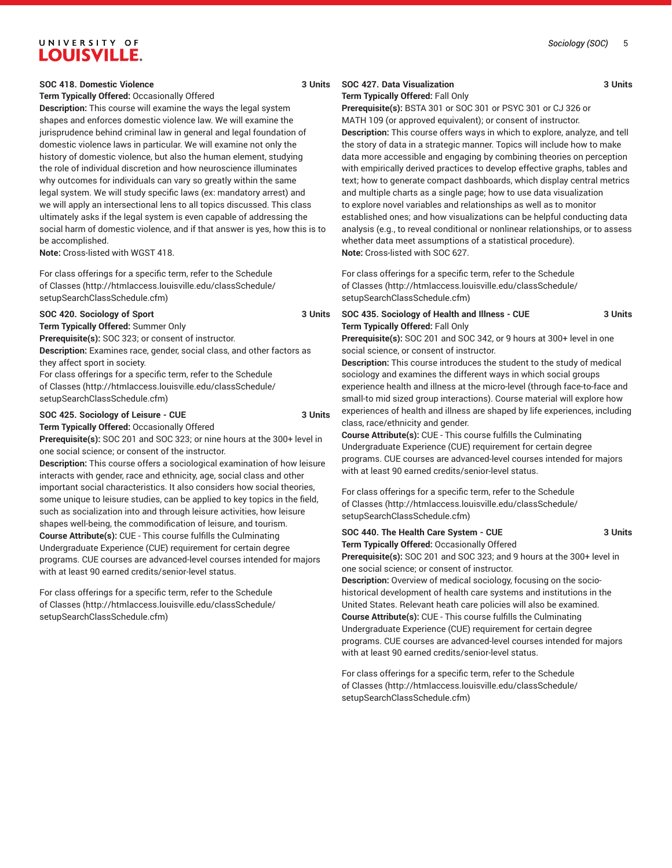### *Sociology (SOC)* 5

## UNIVERSITY OF **LOUISVILLE.**

### **SOC 418. Domestic Violence 3 Units**

**Term Typically Offered:** Occasionally Offered

**Description:** This course will examine the ways the legal system shapes and enforces domestic violence law. We will examine the jurisprudence behind criminal law in general and legal foundation of domestic violence laws in particular. We will examine not only the history of domestic violence, but also the human element, studying the role of individual discretion and how neuroscience illuminates why outcomes for individuals can vary so greatly within the same legal system. We will study specific laws (ex: mandatory arrest) and we will apply an intersectional lens to all topics discussed. This class ultimately asks if the legal system is even capable of addressing the social harm of domestic violence, and if that answer is yes, how this is to be accomplished.

**Note:** Cross-listed with WGST 418.

For class offerings for a specific term, refer to the [Schedule](http://htmlaccess.louisville.edu/classSchedule/setupSearchClassSchedule.cfm) [of Classes \(http://htmlaccess.louisville.edu/classSchedule/](http://htmlaccess.louisville.edu/classSchedule/setupSearchClassSchedule.cfm) [setupSearchClassSchedule.cfm\)](http://htmlaccess.louisville.edu/classSchedule/setupSearchClassSchedule.cfm)

### **SOC 420. Sociology of Sport 3 Units**

**Term Typically Offered:** Summer Only

**Prerequisite(s):** SOC 323; or consent of instructor.

**Description:** Examines race, gender, social class, and other factors as they affect sport in society.

For class offerings for a specific term, refer to the [Schedule](http://htmlaccess.louisville.edu/classSchedule/setupSearchClassSchedule.cfm) [of Classes \(http://htmlaccess.louisville.edu/classSchedule/](http://htmlaccess.louisville.edu/classSchedule/setupSearchClassSchedule.cfm) [setupSearchClassSchedule.cfm\)](http://htmlaccess.louisville.edu/classSchedule/setupSearchClassSchedule.cfm)

### **SOC 425. Sociology of Leisure - CUE 3 Units**

**Term Typically Offered:** Occasionally Offered

**Prerequisite(s):** SOC 201 and SOC 323; or nine hours at the 300+ level in one social science; or consent of the instructor.

**Description:** This course offers a sociological examination of how leisure interacts with gender, race and ethnicity, age, social class and other important social characteristics. It also considers how social theories, some unique to leisure studies, can be applied to key topics in the field, such as socialization into and through leisure activities, how leisure shapes well-being, the commodification of leisure, and tourism. **Course Attribute(s):** CUE - This course fulfills the Culminating Undergraduate Experience (CUE) requirement for certain degree programs. CUE courses are advanced-level courses intended for majors with at least 90 earned credits/senior-level status.

For class offerings for a specific term, refer to the [Schedule](http://htmlaccess.louisville.edu/classSchedule/setupSearchClassSchedule.cfm) [of Classes \(http://htmlaccess.louisville.edu/classSchedule/](http://htmlaccess.louisville.edu/classSchedule/setupSearchClassSchedule.cfm) [setupSearchClassSchedule.cfm\)](http://htmlaccess.louisville.edu/classSchedule/setupSearchClassSchedule.cfm)

### **SOC 427. Data Visualization 3 Units**

**Term Typically Offered:** Fall Only

**Prerequisite(s):** BSTA 301 or SOC 301 or PSYC 301 or CJ 326 or MATH 109 (or approved equivalent); or consent of instructor. **Description:** This course offers ways in which to explore, analyze, and tell the story of data in a strategic manner. Topics will include how to make data more accessible and engaging by combining theories on perception with empirically derived practices to develop effective graphs, tables and text; how to generate compact dashboards, which display central metrics and multiple charts as a single page; how to use data visualization to explore novel variables and relationships as well as to monitor established ones; and how visualizations can be helpful conducting data analysis (e.g., to reveal conditional or nonlinear relationships, or to assess whether data meet assumptions of a statistical procedure). **Note:** Cross-listed with SOC 627.

For class offerings for a specific term, refer to the [Schedule](http://htmlaccess.louisville.edu/classSchedule/setupSearchClassSchedule.cfm) [of Classes](http://htmlaccess.louisville.edu/classSchedule/setupSearchClassSchedule.cfm) ([http://htmlaccess.louisville.edu/classSchedule/](http://htmlaccess.louisville.edu/classSchedule/setupSearchClassSchedule.cfm) [setupSearchClassSchedule.cfm\)](http://htmlaccess.louisville.edu/classSchedule/setupSearchClassSchedule.cfm)

### **SOC 435. Sociology of Health and Illness - CUE 3 Units Term Typically Offered:** Fall Only

**Prerequisite(s):** SOC 201 and SOC 342, or 9 hours at 300+ level in one social science, or consent of instructor.

**Description:** This course introduces the student to the study of medical sociology and examines the different ways in which social groups experience health and illness at the micro-level (through face-to-face and small-to mid sized group interactions). Course material will explore how experiences of health and illness are shaped by life experiences, including class, race/ethnicity and gender.

**Course Attribute(s):** CUE - This course fulfills the Culminating Undergraduate Experience (CUE) requirement for certain degree programs. CUE courses are advanced-level courses intended for majors with at least 90 earned credits/senior-level status.

For class offerings for a specific term, refer to the [Schedule](http://htmlaccess.louisville.edu/classSchedule/setupSearchClassSchedule.cfm) [of Classes](http://htmlaccess.louisville.edu/classSchedule/setupSearchClassSchedule.cfm) ([http://htmlaccess.louisville.edu/classSchedule/](http://htmlaccess.louisville.edu/classSchedule/setupSearchClassSchedule.cfm) [setupSearchClassSchedule.cfm\)](http://htmlaccess.louisville.edu/classSchedule/setupSearchClassSchedule.cfm)

### **SOC 440. The Health Care System - CUE 3 Units Term Typically Offered:** Occasionally Offered

**Prerequisite(s):** SOC 201 and SOC 323; and 9 hours at the 300+ level in one social science; or consent of instructor.

**Description:** Overview of medical sociology, focusing on the sociohistorical development of health care systems and institutions in the United States. Relevant heath care policies will also be examined. **Course Attribute(s):** CUE - This course fulfills the Culminating Undergraduate Experience (CUE) requirement for certain degree programs. CUE courses are advanced-level courses intended for majors with at least 90 earned credits/senior-level status.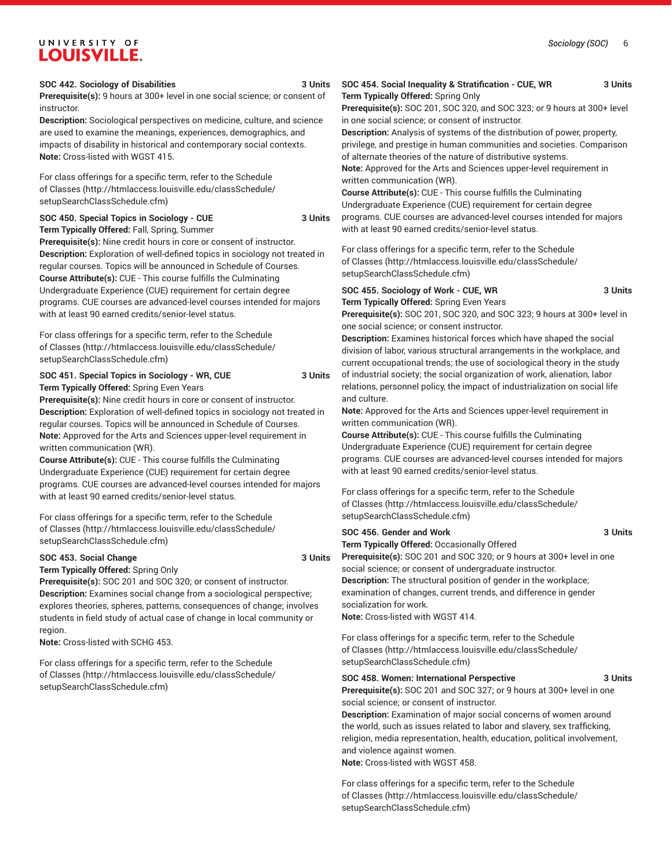#### **SOC 442. Sociology of Disabilities 3 Units**

**Prerequisite(s):** 9 hours at 300+ level in one social science; or consent of instructor.

**Description:** Sociological perspectives on medicine, culture, and science are used to examine the meanings, experiences, demographics, and impacts of disability in historical and contemporary social contexts. **Note:** Cross-listed with WGST 415.

For class offerings for a specific term, refer to the [Schedule](http://htmlaccess.louisville.edu/classSchedule/setupSearchClassSchedule.cfm) [of Classes \(http://htmlaccess.louisville.edu/classSchedule/](http://htmlaccess.louisville.edu/classSchedule/setupSearchClassSchedule.cfm) [setupSearchClassSchedule.cfm\)](http://htmlaccess.louisville.edu/classSchedule/setupSearchClassSchedule.cfm)

**SOC 450. Special Topics in Sociology - CUE 3 Units**

**Term Typically Offered:** Fall, Spring, Summer **Prerequisite(s):** Nine credit hours in core or consent of instructor. **Description:** Exploration of well-defined topics in sociology not treated in regular courses. Topics will be announced in Schedule of Courses. **Course Attribute(s):** CUE - This course fulfills the Culminating Undergraduate Experience (CUE) requirement for certain degree programs. CUE courses are advanced-level courses intended for majors with at least 90 earned credits/senior-level status.

For class offerings for a specific term, refer to the [Schedule](http://htmlaccess.louisville.edu/classSchedule/setupSearchClassSchedule.cfm) [of Classes \(http://htmlaccess.louisville.edu/classSchedule/](http://htmlaccess.louisville.edu/classSchedule/setupSearchClassSchedule.cfm) [setupSearchClassSchedule.cfm\)](http://htmlaccess.louisville.edu/classSchedule/setupSearchClassSchedule.cfm)

**SOC 451. Special Topics in Sociology - WR, CUE 3 Units Term Typically Offered:** Spring Even Years

**Prerequisite(s):** Nine credit hours in core or consent of instructor. **Description:** Exploration of well-defined topics in sociology not treated in regular courses. Topics will be announced in Schedule of Courses. **Note:** Approved for the Arts and Sciences upper-level requirement in written communication (WR).

**Course Attribute(s):** CUE - This course fulfills the Culminating Undergraduate Experience (CUE) requirement for certain degree programs. CUE courses are advanced-level courses intended for majors with at least 90 earned credits/senior-level status.

For class offerings for a specific term, refer to the [Schedule](http://htmlaccess.louisville.edu/classSchedule/setupSearchClassSchedule.cfm) [of Classes \(http://htmlaccess.louisville.edu/classSchedule/](http://htmlaccess.louisville.edu/classSchedule/setupSearchClassSchedule.cfm) [setupSearchClassSchedule.cfm\)](http://htmlaccess.louisville.edu/classSchedule/setupSearchClassSchedule.cfm)

### SOC 453. Social Change 3 Units

**Term Typically Offered:** Spring Only

**Prerequisite(s):** SOC 201 and SOC 320; or consent of instructor. **Description:** Examines social change from a sociological perspective; explores theories, spheres, patterns, consequences of change; involves students in field study of actual case of change in local community or region.

**Note:** Cross-listed with SCHG 453.

For class offerings for a specific term, refer to the [Schedule](http://htmlaccess.louisville.edu/classSchedule/setupSearchClassSchedule.cfm) [of Classes \(http://htmlaccess.louisville.edu/classSchedule/](http://htmlaccess.louisville.edu/classSchedule/setupSearchClassSchedule.cfm) [setupSearchClassSchedule.cfm\)](http://htmlaccess.louisville.edu/classSchedule/setupSearchClassSchedule.cfm)

### **SOC 454. Social Inequality & Stratification - CUE, WR 3 Units Term Typically Offered:** Spring Only

**Prerequisite(s):** SOC 201, SOC 320, and SOC 323; or 9 hours at 300+ level in one social science; or consent of instructor.

**Description:** Analysis of systems of the distribution of power, property, privilege, and prestige in human communities and societies. Comparison of alternate theories of the nature of distributive systems.

**Note:** Approved for the Arts and Sciences upper-level requirement in written communication (WR).

**Course Attribute(s):** CUE - This course fulfills the Culminating Undergraduate Experience (CUE) requirement for certain degree programs. CUE courses are advanced-level courses intended for majors with at least 90 earned credits/senior-level status.

For class offerings for a specific term, refer to the [Schedule](http://htmlaccess.louisville.edu/classSchedule/setupSearchClassSchedule.cfm) [of Classes](http://htmlaccess.louisville.edu/classSchedule/setupSearchClassSchedule.cfm) ([http://htmlaccess.louisville.edu/classSchedule/](http://htmlaccess.louisville.edu/classSchedule/setupSearchClassSchedule.cfm) [setupSearchClassSchedule.cfm\)](http://htmlaccess.louisville.edu/classSchedule/setupSearchClassSchedule.cfm)

### **SOC 455. Sociology of Work - CUE, WR 3 Units Term Typically Offered:** Spring Even Years

**Prerequisite(s):** SOC 201, SOC 320, and SOC 323; 9 hours at 300+ level in one social science; or consent instructor.

**Description:** Examines historical forces which have shaped the social division of labor, various structural arrangements in the workplace, and current occupational trends; the use of sociological theory in the study of industrial society; the social organization of work, alienation, labor relations, personnel policy, the impact of industrialization on social life and culture.

**Note:** Approved for the Arts and Sciences upper-level requirement in written communication (WR).

**Course Attribute(s):** CUE - This course fulfills the Culminating Undergraduate Experience (CUE) requirement for certain degree programs. CUE courses are advanced-level courses intended for majors with at least 90 earned credits/senior-level status.

For class offerings for a specific term, refer to the [Schedule](http://htmlaccess.louisville.edu/classSchedule/setupSearchClassSchedule.cfm) [of Classes](http://htmlaccess.louisville.edu/classSchedule/setupSearchClassSchedule.cfm) ([http://htmlaccess.louisville.edu/classSchedule/](http://htmlaccess.louisville.edu/classSchedule/setupSearchClassSchedule.cfm) [setupSearchClassSchedule.cfm\)](http://htmlaccess.louisville.edu/classSchedule/setupSearchClassSchedule.cfm)

### **SOC 456. Gender and Work 3 Units**

**Term Typically Offered:** Occasionally Offered

**Prerequisite(s):** SOC 201 and SOC 320; or 9 hours at 300+ level in one social science; or consent of undergraduate instructor. **Description:** The structural position of gender in the workplace; examination of changes, current trends, and difference in gender socialization for work. **Note:** Cross-listed with WGST 414.

For class offerings for a specific term, refer to the [Schedule](http://htmlaccess.louisville.edu/classSchedule/setupSearchClassSchedule.cfm)

[of Classes](http://htmlaccess.louisville.edu/classSchedule/setupSearchClassSchedule.cfm) ([http://htmlaccess.louisville.edu/classSchedule/](http://htmlaccess.louisville.edu/classSchedule/setupSearchClassSchedule.cfm) [setupSearchClassSchedule.cfm\)](http://htmlaccess.louisville.edu/classSchedule/setupSearchClassSchedule.cfm)

### **SOC 458. Women: International Perspective 3 Units**

**Prerequisite(s):** SOC 201 and SOC 327; or 9 hours at 300+ level in one social science; or consent of instructor.

**Description:** Examination of major social concerns of women around the world, such as issues related to labor and slavery, sex trafficking, religion, media representation, health, education, political involvement, and violence against women.

**Note:** Cross-listed with WGST 458.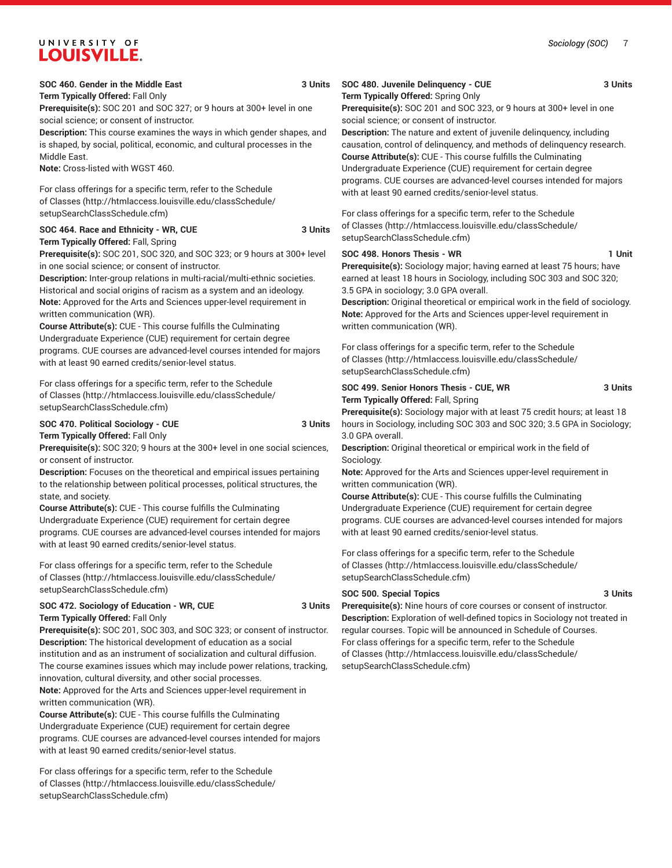**Term Typically Offered:** Fall Only **Prerequisite(s):** SOC 201 and SOC 327; or 9 hours at 300+ level in one social science; or consent of instructor.

**Description:** This course examines the ways in which gender shapes, and is shaped, by social, political, economic, and cultural processes in the Middle East.

**Note:** Cross-listed with WGST 460.

For class offerings for a specific term, refer to the [Schedule](http://htmlaccess.louisville.edu/classSchedule/setupSearchClassSchedule.cfm) [of Classes \(http://htmlaccess.louisville.edu/classSchedule/](http://htmlaccess.louisville.edu/classSchedule/setupSearchClassSchedule.cfm) [setupSearchClassSchedule.cfm\)](http://htmlaccess.louisville.edu/classSchedule/setupSearchClassSchedule.cfm)

### SOC 464. Race and Ethnicity - WR, CUE 3 Units **Term Typically Offered:** Fall, Spring

**Prerequisite(s):** SOC 201, SOC 320, and SOC 323; or 9 hours at 300+ level in one social science; or consent of instructor.

**Description:** Inter-group relations in multi-racial/multi-ethnic societies. Historical and social origins of racism as a system and an ideology. **Note:** Approved for the Arts and Sciences upper-level requirement in written communication (WR).

**Course Attribute(s):** CUE - This course fulfills the Culminating Undergraduate Experience (CUE) requirement for certain degree programs. CUE courses are advanced-level courses intended for majors with at least 90 earned credits/senior-level status.

For class offerings for a specific term, refer to the [Schedule](http://htmlaccess.louisville.edu/classSchedule/setupSearchClassSchedule.cfm) [of Classes \(http://htmlaccess.louisville.edu/classSchedule/](http://htmlaccess.louisville.edu/classSchedule/setupSearchClassSchedule.cfm) [setupSearchClassSchedule.cfm\)](http://htmlaccess.louisville.edu/classSchedule/setupSearchClassSchedule.cfm)

### **SOC 470. Political Sociology - CUE 3 Units**

**Term Typically Offered:** Fall Only

**Prerequisite(s):** SOC 320; 9 hours at the 300+ level in one social sciences, or consent of instructor.

**Description:** Focuses on the theoretical and empirical issues pertaining to the relationship between political processes, political structures, the state, and society.

**Course Attribute(s):** CUE - This course fulfills the Culminating Undergraduate Experience (CUE) requirement for certain degree programs. CUE courses are advanced-level courses intended for majors with at least 90 earned credits/senior-level status.

For class offerings for a specific term, refer to the [Schedule](http://htmlaccess.louisville.edu/classSchedule/setupSearchClassSchedule.cfm) [of Classes \(http://htmlaccess.louisville.edu/classSchedule/](http://htmlaccess.louisville.edu/classSchedule/setupSearchClassSchedule.cfm) [setupSearchClassSchedule.cfm\)](http://htmlaccess.louisville.edu/classSchedule/setupSearchClassSchedule.cfm)

### **SOC 472. Sociology of Education - WR, CUE 3 Units Term Typically Offered:** Fall Only

**Prerequisite(s):** SOC 201, SOC 303, and SOC 323; or consent of instructor. **Description:** The historical development of education as a social institution and as an instrument of socialization and cultural diffusion. The course examines issues which may include power relations, tracking, innovation, cultural diversity, and other social processes.

**Note:** Approved for the Arts and Sciences upper-level requirement in written communication (WR).

**Course Attribute(s):** CUE - This course fulfills the Culminating Undergraduate Experience (CUE) requirement for certain degree programs. CUE courses are advanced-level courses intended for majors with at least 90 earned credits/senior-level status.

For class offerings for a specific term, refer to the [Schedule](http://htmlaccess.louisville.edu/classSchedule/setupSearchClassSchedule.cfm) [of Classes \(http://htmlaccess.louisville.edu/classSchedule/](http://htmlaccess.louisville.edu/classSchedule/setupSearchClassSchedule.cfm) [setupSearchClassSchedule.cfm\)](http://htmlaccess.louisville.edu/classSchedule/setupSearchClassSchedule.cfm)

## **SOC 480. Juvenile Delinquency - CUE 3 Units**

**Term Typically Offered:** Spring Only **Prerequisite(s):** SOC 201 and SOC 323, or 9 hours at 300+ level in one social science; or consent of instructor.

**Description:** The nature and extent of juvenile delinquency, including causation, control of delinquency, and methods of delinquency research. **Course Attribute(s):** CUE - This course fulfills the Culminating Undergraduate Experience (CUE) requirement for certain degree programs. CUE courses are advanced-level courses intended for majors with at least 90 earned credits/senior-level status.

For class offerings for a specific term, refer to the [Schedule](http://htmlaccess.louisville.edu/classSchedule/setupSearchClassSchedule.cfm) [of Classes](http://htmlaccess.louisville.edu/classSchedule/setupSearchClassSchedule.cfm) ([http://htmlaccess.louisville.edu/classSchedule/](http://htmlaccess.louisville.edu/classSchedule/setupSearchClassSchedule.cfm) [setupSearchClassSchedule.cfm\)](http://htmlaccess.louisville.edu/classSchedule/setupSearchClassSchedule.cfm)

### SOC 498. Honors Thesis - WR 1 Unit

**Prerequisite(s):** Sociology major; having earned at least 75 hours; have earned at least 18 hours in Sociology, including SOC 303 and SOC 320; 3.5 GPA in sociology; 3.0 GPA overall.

**Description:** Original theoretical or empirical work in the field of sociology. **Note:** Approved for the Arts and Sciences upper-level requirement in written communication (WR).

For class offerings for a specific term, refer to the [Schedule](http://htmlaccess.louisville.edu/classSchedule/setupSearchClassSchedule.cfm) [of Classes](http://htmlaccess.louisville.edu/classSchedule/setupSearchClassSchedule.cfm) ([http://htmlaccess.louisville.edu/classSchedule/](http://htmlaccess.louisville.edu/classSchedule/setupSearchClassSchedule.cfm) [setupSearchClassSchedule.cfm\)](http://htmlaccess.louisville.edu/classSchedule/setupSearchClassSchedule.cfm)

### SOC 499. Senior Honors Thesis - CUE, WR 3 Units **Term Typically Offered:** Fall, Spring

**Prerequisite(s):** Sociology major with at least 75 credit hours; at least 18 hours in Sociology, including SOC 303 and SOC 320; 3.5 GPA in Sociology; 3.0 GPA overall.

**Description:** Original theoretical or empirical work in the field of Sociology.

**Note:** Approved for the Arts and Sciences upper-level requirement in written communication (WR).

**Course Attribute(s):** CUE - This course fulfills the Culminating Undergraduate Experience (CUE) requirement for certain degree programs. CUE courses are advanced-level courses intended for majors with at least 90 earned credits/senior-level status.

For class offerings for a specific term, refer to the [Schedule](http://htmlaccess.louisville.edu/classSchedule/setupSearchClassSchedule.cfm) [of Classes](http://htmlaccess.louisville.edu/classSchedule/setupSearchClassSchedule.cfm) ([http://htmlaccess.louisville.edu/classSchedule/](http://htmlaccess.louisville.edu/classSchedule/setupSearchClassSchedule.cfm) [setupSearchClassSchedule.cfm\)](http://htmlaccess.louisville.edu/classSchedule/setupSearchClassSchedule.cfm)

### **SOC 500. Special Topics 3 Units**

**Prerequisite(s):** Nine hours of core courses or consent of instructor. **Description:** Exploration of well-defined topics in Sociology not treated in regular courses. Topic will be announced in Schedule of Courses. For class offerings for a specific term, refer to the [Schedule](http://htmlaccess.louisville.edu/classSchedule/setupSearchClassSchedule.cfm) [of Classes](http://htmlaccess.louisville.edu/classSchedule/setupSearchClassSchedule.cfm) ([http://htmlaccess.louisville.edu/classSchedule/](http://htmlaccess.louisville.edu/classSchedule/setupSearchClassSchedule.cfm) [setupSearchClassSchedule.cfm\)](http://htmlaccess.louisville.edu/classSchedule/setupSearchClassSchedule.cfm)